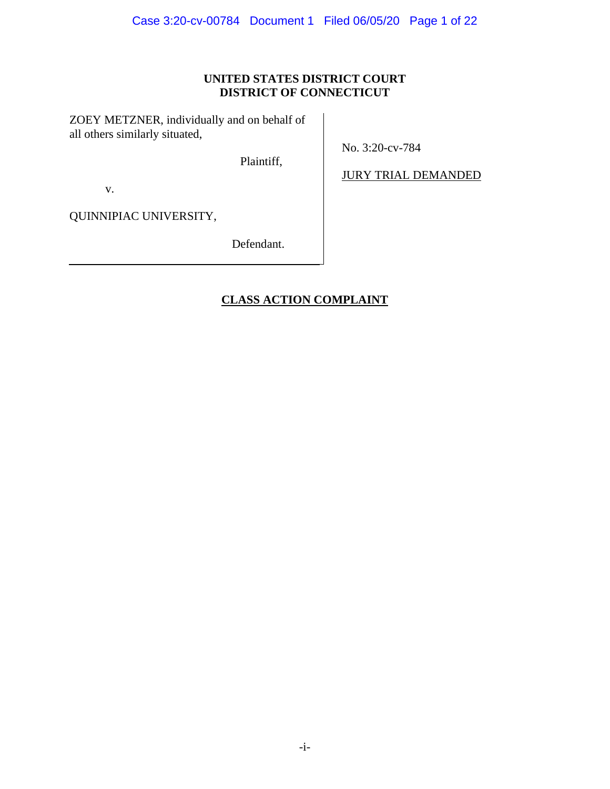# **UNITED STATES DISTRICT COURT DISTRICT OF CONNECTICUT**

ZOEY METZNER, individually and on behalf of all others similarly situated,

Plaintiff,

No. 3:20-cv-784

v.

JURY TRIAL DEMANDED

QUINNIPIAC UNIVERSITY,

Defendant.

# **CLASS ACTION COMPLAINT**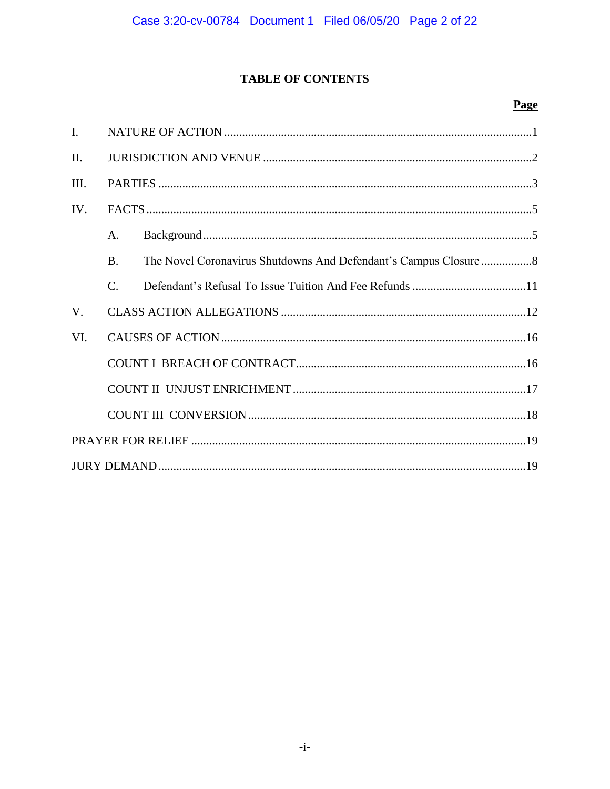# **TABLE OF CONTENTS**

# Page

| I.      |                 |  |  |  |  |  |  |  |
|---------|-----------------|--|--|--|--|--|--|--|
| $\Pi$ . |                 |  |  |  |  |  |  |  |
| III.    |                 |  |  |  |  |  |  |  |
| IV.     |                 |  |  |  |  |  |  |  |
|         | $\mathsf{A}$ .  |  |  |  |  |  |  |  |
|         | $\bf{B}$        |  |  |  |  |  |  |  |
|         | $\mathcal{C}$ . |  |  |  |  |  |  |  |
| V.      |                 |  |  |  |  |  |  |  |
| VI.     |                 |  |  |  |  |  |  |  |
|         |                 |  |  |  |  |  |  |  |
|         |                 |  |  |  |  |  |  |  |
|         |                 |  |  |  |  |  |  |  |
|         |                 |  |  |  |  |  |  |  |
|         |                 |  |  |  |  |  |  |  |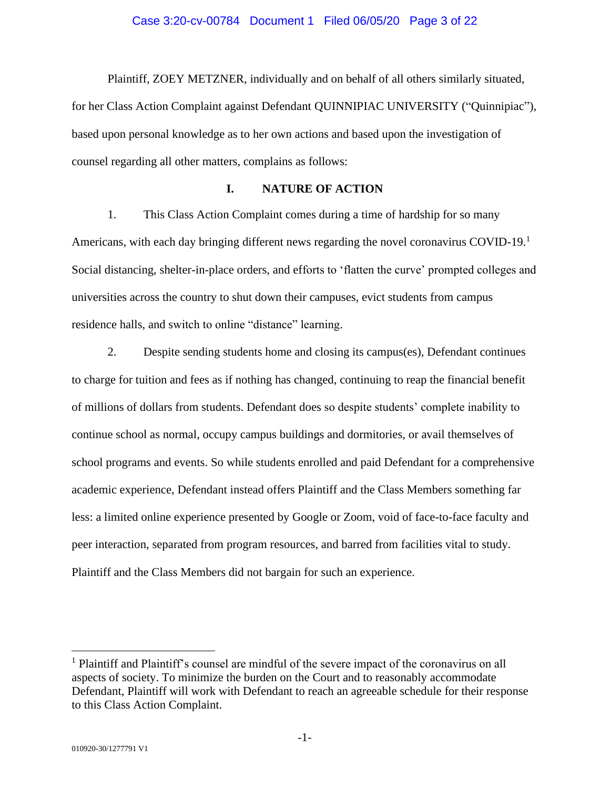Plaintiff, ZOEY METZNER, individually and on behalf of all others similarly situated, for her Class Action Complaint against Defendant QUINNIPIAC UNIVERSITY ("Quinnipiac"), based upon personal knowledge as to her own actions and based upon the investigation of counsel regarding all other matters, complains as follows:

### **I. NATURE OF ACTION**

1. This Class Action Complaint comes during a time of hardship for so many Americans, with each day bringing different news regarding the novel coronavirus COVID-19.<sup>1</sup> Social distancing, shelter-in-place orders, and efforts to 'flatten the curve' prompted colleges and universities across the country to shut down their campuses, evict students from campus residence halls, and switch to online "distance" learning.

2. Despite sending students home and closing its campus(es), Defendant continues to charge for tuition and fees as if nothing has changed, continuing to reap the financial benefit of millions of dollars from students. Defendant does so despite students' complete inability to continue school as normal, occupy campus buildings and dormitories, or avail themselves of school programs and events. So while students enrolled and paid Defendant for a comprehensive academic experience, Defendant instead offers Plaintiff and the Class Members something far less: a limited online experience presented by Google or Zoom, void of face-to-face faculty and peer interaction, separated from program resources, and barred from facilities vital to study. Plaintiff and the Class Members did not bargain for such an experience.

 $<sup>1</sup>$  Plaintiff and Plaintiff's counsel are mindful of the severe impact of the coronavirus on all</sup> aspects of society. To minimize the burden on the Court and to reasonably accommodate Defendant, Plaintiff will work with Defendant to reach an agreeable schedule for their response to this Class Action Complaint.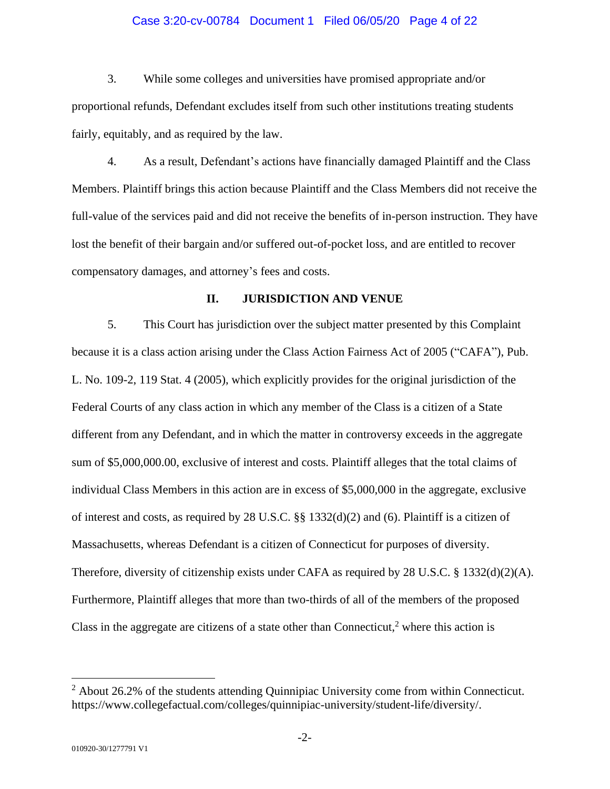#### Case 3:20-cv-00784 Document 1 Filed 06/05/20 Page 4 of 22

3. While some colleges and universities have promised appropriate and/or proportional refunds, Defendant excludes itself from such other institutions treating students fairly, equitably, and as required by the law.

4. As a result, Defendant's actions have financially damaged Plaintiff and the Class Members. Plaintiff brings this action because Plaintiff and the Class Members did not receive the full-value of the services paid and did not receive the benefits of in-person instruction. They have lost the benefit of their bargain and/or suffered out-of-pocket loss, and are entitled to recover compensatory damages, and attorney's fees and costs.

#### **II. JURISDICTION AND VENUE**

5. This Court has jurisdiction over the subject matter presented by this Complaint because it is a class action arising under the Class Action Fairness Act of 2005 ("CAFA"), Pub. L. No. 109-2, 119 Stat. 4 (2005), which explicitly provides for the original jurisdiction of the Federal Courts of any class action in which any member of the Class is a citizen of a State different from any Defendant, and in which the matter in controversy exceeds in the aggregate sum of \$5,000,000.00, exclusive of interest and costs. Plaintiff alleges that the total claims of individual Class Members in this action are in excess of \$5,000,000 in the aggregate, exclusive of interest and costs, as required by 28 U.S.C. §§ 1332(d)(2) and (6). Plaintiff is a citizen of Massachusetts, whereas Defendant is a citizen of Connecticut for purposes of diversity. Therefore, diversity of citizenship exists under CAFA as required by 28 U.S.C. § 1332(d)(2)(A). Furthermore, Plaintiff alleges that more than two-thirds of all of the members of the proposed Class in the aggregate are citizens of a state other than Connecticut, $2$  where this action is

 $2$  About 26.2% of the students attending Quinnipiac University come from within Connecticut. https://www.collegefactual.com/colleges/quinnipiac-university/student-life/diversity/.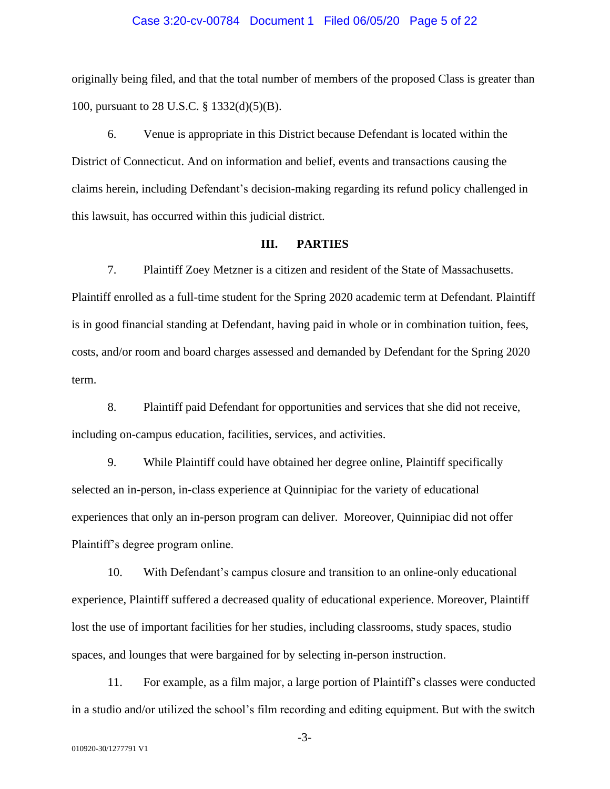#### Case 3:20-cv-00784 Document 1 Filed 06/05/20 Page 5 of 22

originally being filed, and that the total number of members of the proposed Class is greater than 100, pursuant to 28 U.S.C. § 1332(d)(5)(B).

6. Venue is appropriate in this District because Defendant is located within the District of Connecticut. And on information and belief, events and transactions causing the claims herein, including Defendant's decision-making regarding its refund policy challenged in this lawsuit, has occurred within this judicial district.

#### **III. PARTIES**

7. Plaintiff Zoey Metzner is a citizen and resident of the State of Massachusetts. Plaintiff enrolled as a full-time student for the Spring 2020 academic term at Defendant. Plaintiff is in good financial standing at Defendant, having paid in whole or in combination tuition, fees, costs, and/or room and board charges assessed and demanded by Defendant for the Spring 2020 term.

8. Plaintiff paid Defendant for opportunities and services that she did not receive, including on-campus education, facilities, services, and activities.

9. While Plaintiff could have obtained her degree online, Plaintiff specifically selected an in-person, in-class experience at Quinnipiac for the variety of educational experiences that only an in-person program can deliver. Moreover, Quinnipiac did not offer Plaintiff's degree program online.

10. With Defendant's campus closure and transition to an online-only educational experience, Plaintiff suffered a decreased quality of educational experience. Moreover, Plaintiff lost the use of important facilities for her studies, including classrooms, study spaces, studio spaces, and lounges that were bargained for by selecting in-person instruction.

11. For example, as a film major, a large portion of Plaintiff's classes were conducted in a studio and/or utilized the school's film recording and editing equipment. But with the switch

-3-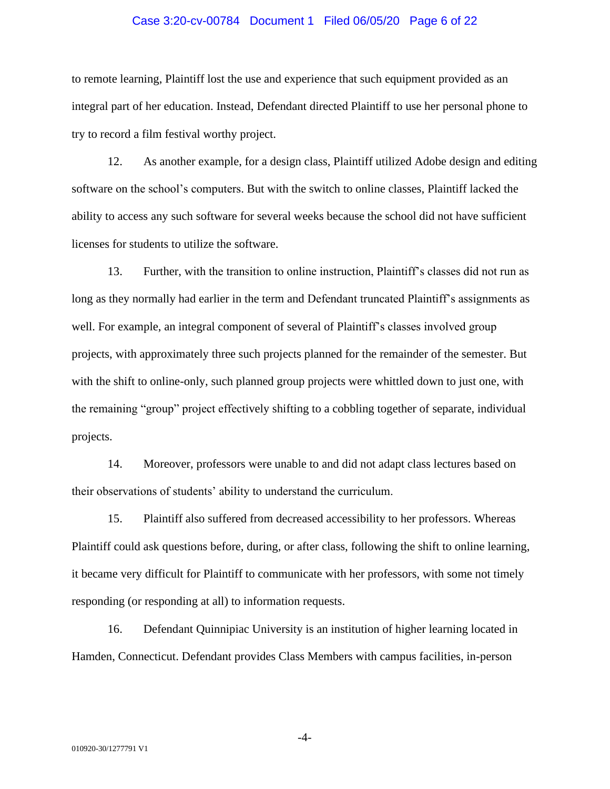#### Case 3:20-cv-00784 Document 1 Filed 06/05/20 Page 6 of 22

to remote learning, Plaintiff lost the use and experience that such equipment provided as an integral part of her education. Instead, Defendant directed Plaintiff to use her personal phone to try to record a film festival worthy project.

12. As another example, for a design class, Plaintiff utilized Adobe design and editing software on the school's computers. But with the switch to online classes, Plaintiff lacked the ability to access any such software for several weeks because the school did not have sufficient licenses for students to utilize the software.

13. Further, with the transition to online instruction, Plaintiff's classes did not run as long as they normally had earlier in the term and Defendant truncated Plaintiff's assignments as well. For example, an integral component of several of Plaintiff's classes involved group projects, with approximately three such projects planned for the remainder of the semester. But with the shift to online-only, such planned group projects were whittled down to just one, with the remaining "group" project effectively shifting to a cobbling together of separate, individual projects.

14. Moreover, professors were unable to and did not adapt class lectures based on their observations of students' ability to understand the curriculum.

15. Plaintiff also suffered from decreased accessibility to her professors. Whereas Plaintiff could ask questions before, during, or after class, following the shift to online learning, it became very difficult for Plaintiff to communicate with her professors, with some not timely responding (or responding at all) to information requests.

16. Defendant Quinnipiac University is an institution of higher learning located in Hamden, Connecticut. Defendant provides Class Members with campus facilities, in-person

-4-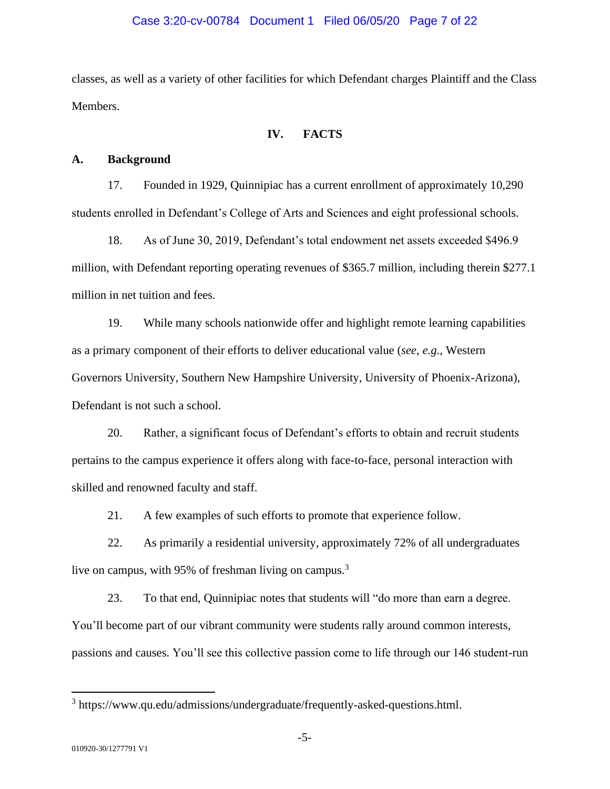#### Case 3:20-cv-00784 Document 1 Filed 06/05/20 Page 7 of 22

classes, as well as a variety of other facilities for which Defendant charges Plaintiff and the Class Members.

#### **IV. FACTS**

#### **A. Background**

17. Founded in 1929, Quinnipiac has a current enrollment of approximately 10,290 students enrolled in Defendant's College of Arts and Sciences and eight professional schools.

18. As of June 30, 2019, Defendant's total endowment net assets exceeded \$496.9 million, with Defendant reporting operating revenues of \$365.7 million, including therein \$277.1 million in net tuition and fees.

19. While many schools nationwide offer and highlight remote learning capabilities as a primary component of their efforts to deliver educational value (*see*, *e.g.*, Western Governors University, Southern New Hampshire University, University of Phoenix-Arizona), Defendant is not such a school.

20. Rather, a significant focus of Defendant's efforts to obtain and recruit students pertains to the campus experience it offers along with face-to-face, personal interaction with skilled and renowned faculty and staff.

21. A few examples of such efforts to promote that experience follow.

22. As primarily a residential university, approximately 72% of all undergraduates live on campus, with 95% of freshman living on campus.<sup>3</sup>

23. To that end, Quinnipiac notes that students will "do more than earn a degree. You'll become part of our vibrant community were students rally around common interests, passions and causes. You'll see this collective passion come to life through our 146 student-run

<sup>&</sup>lt;sup>3</sup> https://www.qu.edu/admissions/undergraduate/frequently-asked-questions.html.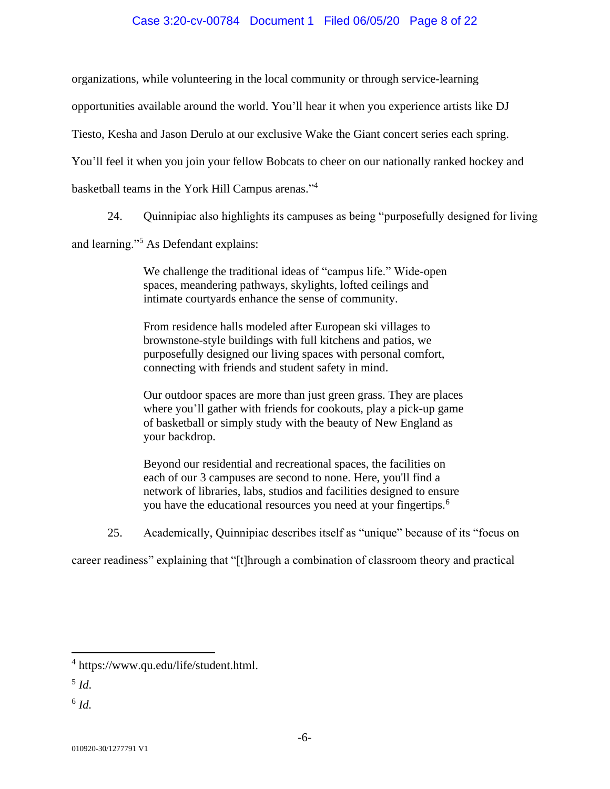#### Case 3:20-cv-00784 Document 1 Filed 06/05/20 Page 8 of 22

organizations, while volunteering in the local community or through service-learning

opportunities available around the world. You'll hear it when you experience artists like DJ

Tiesto, Kesha and Jason Derulo at our exclusive Wake the Giant concert series each spring.

You'll feel it when you join your fellow Bobcats to cheer on our nationally ranked hockey and

basketball teams in the York Hill Campus arenas."<sup>4</sup>

24. Quinnipiac also highlights its campuses as being "purposefully designed for living

and learning."<sup>5</sup> As Defendant explains:

We challenge the traditional ideas of "campus life." Wide-open spaces, meandering pathways, skylights, lofted ceilings and intimate courtyards enhance the sense of community.

From residence halls modeled after European ski villages to brownstone-style buildings with full kitchens and patios, we purposefully designed our living spaces with personal comfort, connecting with friends and student safety in mind.

Our outdoor spaces are more than just green grass. They are places where you'll gather with friends for cookouts, play a pick-up game of basketball or simply study with the beauty of New England as your backdrop.

Beyond our residential and recreational spaces, the facilities on each of our 3 campuses are second to none. Here, you'll find a network of libraries, labs, studios and facilities designed to ensure you have the educational resources you need at your fingertips.<sup>6</sup>

25. Academically, Quinnipiac describes itself as "unique" because of its "focus on

career readiness" explaining that "[t]hrough a combination of classroom theory and practical

<sup>4</sup> https://www.qu.edu/life/student.html.

<sup>5</sup> *Id*.

<sup>6</sup> *Id.*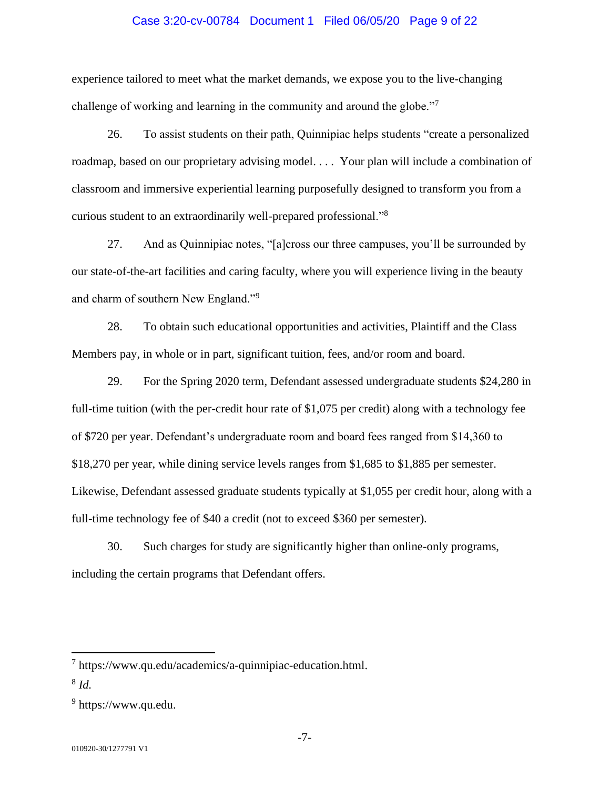#### Case 3:20-cv-00784 Document 1 Filed 06/05/20 Page 9 of 22

experience tailored to meet what the market demands, we expose you to the live-changing challenge of working and learning in the community and around the globe."<sup>7</sup>

26. To assist students on their path, Quinnipiac helps students "create a personalized roadmap, based on our proprietary advising model. . . . Your plan will include a combination of classroom and immersive experiential learning purposefully designed to transform you from a curious student to an extraordinarily well-prepared professional."<sup>8</sup>

27. And as Quinnipiac notes, "[a]cross our three campuses, you'll be surrounded by our state-of-the-art facilities and caring faculty, where you will experience living in the beauty and charm of southern New England."<sup>9</sup>

28. To obtain such educational opportunities and activities, Plaintiff and the Class Members pay, in whole or in part, significant tuition, fees, and/or room and board.

29. For the Spring 2020 term, Defendant assessed undergraduate students \$24,280 in full-time tuition (with the per-credit hour rate of \$1,075 per credit) along with a technology fee of \$720 per year. Defendant's undergraduate room and board fees ranged from \$14,360 to \$18,270 per year, while dining service levels ranges from \$1,685 to \$1,885 per semester. Likewise, Defendant assessed graduate students typically at \$1,055 per credit hour, along with a full-time technology fee of \$40 a credit (not to exceed \$360 per semester).

30. Such charges for study are significantly higher than online-only programs, including the certain programs that Defendant offers.

<sup>&</sup>lt;sup>7</sup> https://www.qu.edu/academics/a-quinnipiac-education.html.

<sup>8</sup> *Id.*

<sup>&</sup>lt;sup>9</sup> https://www.qu.edu.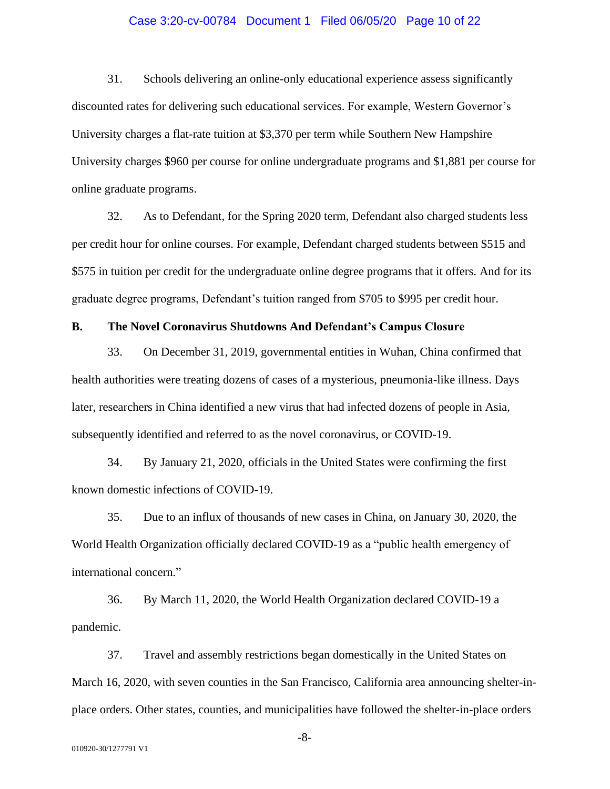#### Case 3:20-cv-00784 Document 1 Filed 06/05/20 Page 10 of 22

31. Schools delivering an online-only educational experience assess significantly discounted rates for delivering such educational services. For example, Western Governor's University charges a flat-rate tuition at \$3,370 per term while Southern New Hampshire University charges \$960 per course for online undergraduate programs and \$1,881 per course for online graduate programs.

32. As to Defendant, for the Spring 2020 term, Defendant also charged students less per credit hour for online courses. For example, Defendant charged students between \$515 and \$575 in tuition per credit for the undergraduate online degree programs that it offers. And for its graduate degree programs, Defendant's tuition ranged from \$705 to \$995 per credit hour.

#### **B. The Novel Coronavirus Shutdowns And Defendant's Campus Closure**

33. On December 31, 2019, governmental entities in Wuhan, China confirmed that health authorities were treating dozens of cases of a mysterious, pneumonia-like illness. Days later, researchers in China identified a new virus that had infected dozens of people in Asia, subsequently identified and referred to as the novel coronavirus, or COVID-19.

34. By January 21, 2020, officials in the United States were confirming the first known domestic infections of COVID-19.

35. Due to an influx of thousands of new cases in China, on January 30, 2020, the World Health Organization officially declared COVID-19 as a "public health emergency of international concern."

36. By March 11, 2020, the World Health Organization declared COVID-19 a pandemic.

37. Travel and assembly restrictions began domestically in the United States on March 16, 2020, with seven counties in the San Francisco, California area announcing shelter-inplace orders. Other states, counties, and municipalities have followed the shelter-in-place orders

-8-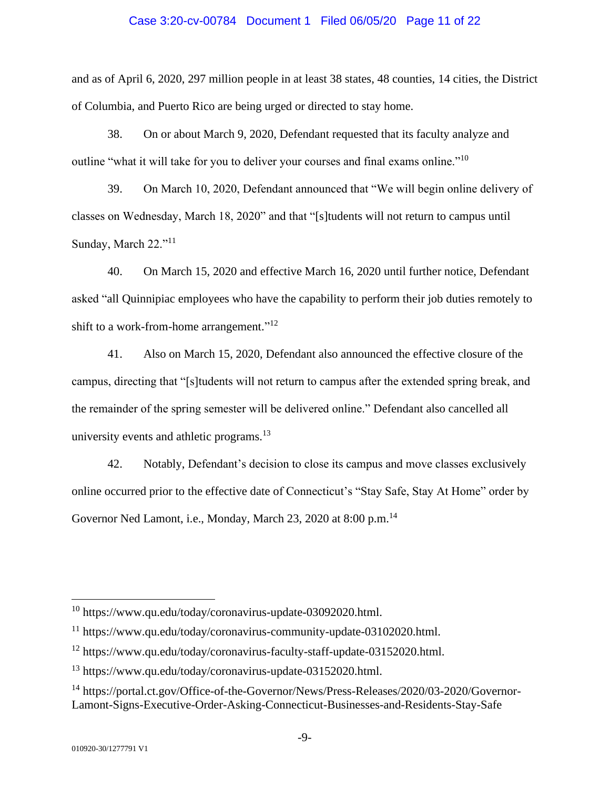#### Case 3:20-cv-00784 Document 1 Filed 06/05/20 Page 11 of 22

and as of April 6, 2020, 297 million people in at least 38 states, 48 counties, 14 cities, the District of Columbia, and Puerto Rico are being urged or directed to stay home.

38. On or about March 9, 2020, Defendant requested that its faculty analyze and outline "what it will take for you to deliver your courses and final exams online."<sup>10</sup>

39. On March 10, 2020, Defendant announced that "We will begin online delivery of classes on Wednesday, March 18, 2020" and that "[s]tudents will not return to campus until Sunday, March 22."<sup>11</sup>

40. On March 15, 2020 and effective March 16, 2020 until further notice, Defendant asked "all Quinnipiac employees who have the capability to perform their job duties remotely to shift to a work-from-home arrangement."<sup>12</sup>

41. Also on March 15, 2020, Defendant also announced the effective closure of the campus, directing that "[s]tudents will not return to campus after the extended spring break, and the remainder of the spring semester will be delivered online." Defendant also cancelled all university events and athletic programs. $13$ 

42. Notably, Defendant's decision to close its campus and move classes exclusively online occurred prior to the effective date of Connecticut's "Stay Safe, Stay At Home" order by Governor Ned Lamont, i.e., Monday, March 23, 2020 at 8:00 p.m.<sup>14</sup>

<sup>10</sup> https://www.qu.edu/today/coronavirus-update-03092020.html.

<sup>11</sup> https://www.qu.edu/today/coronavirus-community-update-03102020.html.

<sup>&</sup>lt;sup>12</sup> https://www.qu.edu/today/coronavirus-faculty-staff-update-03152020.html.

 $^{13}$  https://www.qu.edu/today/coronavirus-update-03152020.html.

<sup>&</sup>lt;sup>14</sup> https://portal.ct.gov/Office-of-the-Governor/News/Press-Releases/2020/03-2020/Governor-Lamont-Signs-Executive-Order-Asking-Connecticut-Businesses-and-Residents-Stay-Safe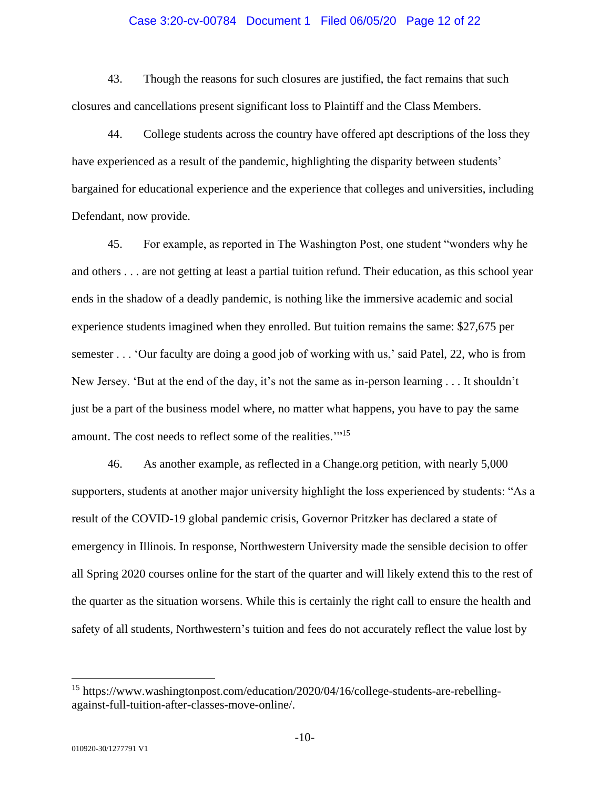#### Case 3:20-cv-00784 Document 1 Filed 06/05/20 Page 12 of 22

43. Though the reasons for such closures are justified, the fact remains that such closures and cancellations present significant loss to Plaintiff and the Class Members.

44. College students across the country have offered apt descriptions of the loss they have experienced as a result of the pandemic, highlighting the disparity between students' bargained for educational experience and the experience that colleges and universities, including Defendant, now provide.

45. For example, as reported in The Washington Post, one student "wonders why he and others . . . are not getting at least a partial tuition refund. Their education, as this school year ends in the shadow of a deadly pandemic, is nothing like the immersive academic and social experience students imagined when they enrolled. But tuition remains the same: \$27,675 per semester . . . 'Our faculty are doing a good job of working with us,' said Patel, 22, who is from New Jersey. 'But at the end of the day, it's not the same as in-person learning . . . It shouldn't just be a part of the business model where, no matter what happens, you have to pay the same amount. The cost needs to reflect some of the realities."<sup>15</sup>

46. As another example, as reflected in a Change.org petition, with nearly 5,000 supporters, students at another major university highlight the loss experienced by students: "As a result of the COVID-19 global pandemic crisis, Governor Pritzker has declared a state of emergency in Illinois. In response, Northwestern University made the sensible decision to offer all Spring 2020 courses online for the start of the quarter and will likely extend this to the rest of the quarter as the situation worsens. While this is certainly the right call to ensure the health and safety of all students, Northwestern's tuition and fees do not accurately reflect the value lost by

<sup>&</sup>lt;sup>15</sup> https://www.washingtonpost.com/education/2020/04/16/college-students-are-rebellingagainst-full-tuition-after-classes-move-online/.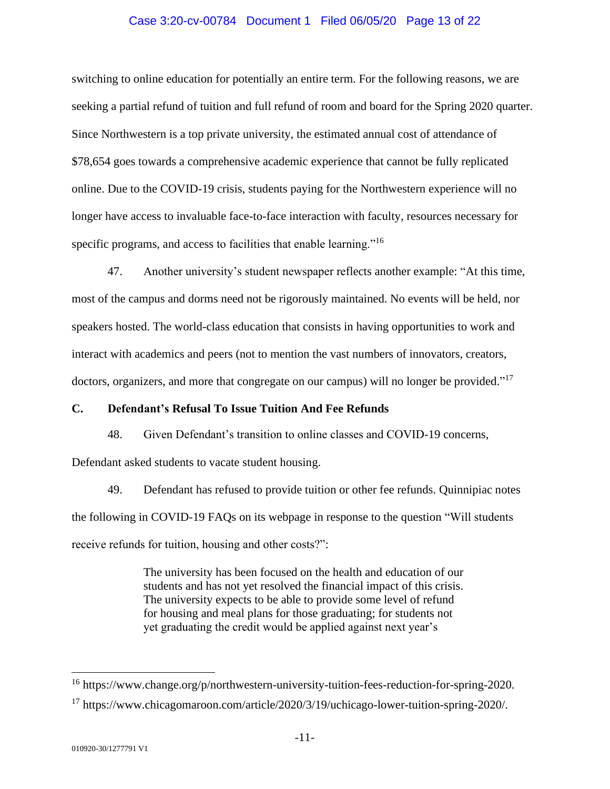#### Case 3:20-cv-00784 Document 1 Filed 06/05/20 Page 13 of 22

switching to online education for potentially an entire term. For the following reasons, we are seeking a partial refund of tuition and full refund of room and board for the Spring 2020 quarter. Since Northwestern is a top private university, the estimated annual cost of attendance of \$78,654 goes towards a comprehensive academic experience that cannot be fully replicated online. Due to the COVID-19 crisis, students paying for the Northwestern experience will no longer have access to invaluable face-to-face interaction with faculty, resources necessary for specific programs, and access to facilities that enable learning."<sup>16</sup>

47. Another university's student newspaper reflects another example: "At this time, most of the campus and dorms need not be rigorously maintained. No events will be held, nor speakers hosted. The world-class education that consists in having opportunities to work and interact with academics and peers (not to mention the vast numbers of innovators, creators, doctors, organizers, and more that congregate on our campus) will no longer be provided."<sup>17</sup>

#### **C. Defendant's Refusal To Issue Tuition And Fee Refunds**

48. Given Defendant's transition to online classes and COVID-19 concerns,

Defendant asked students to vacate student housing.

49. Defendant has refused to provide tuition or other fee refunds. Quinnipiac notes the following in COVID-19 FAQs on its webpage in response to the question "Will students receive refunds for tuition, housing and other costs?":

> The university has been focused on the health and education of our students and has not yet resolved the financial impact of this crisis. The university expects to be able to provide some level of refund for housing and meal plans for those graduating; for students not yet graduating the credit would be applied against next year's

<sup>&</sup>lt;sup>16</sup> https://www.change.org/p/northwestern-university-tuition-fees-reduction-for-spring-2020.

<sup>&</sup>lt;sup>17</sup> https://www.chicagomaroon.com/article/2020/3/19/uchicago-lower-tuition-spring-2020/.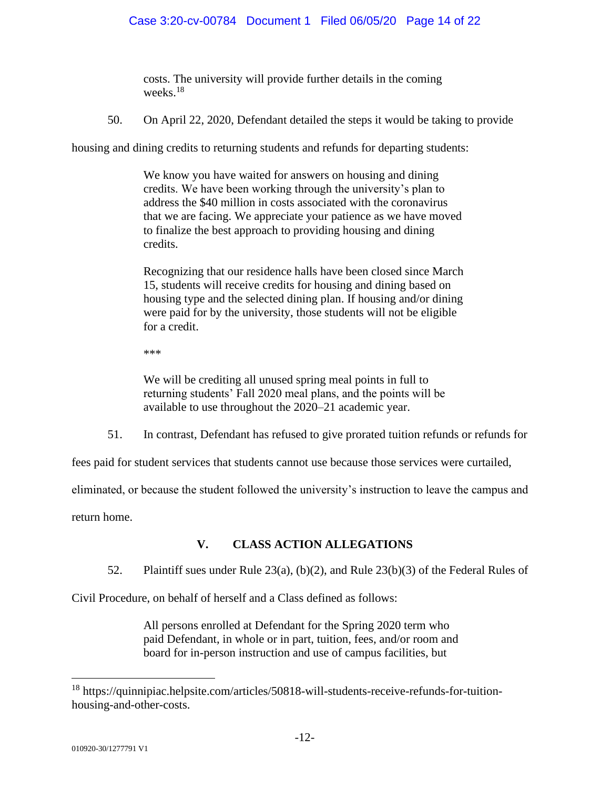costs. The university will provide further details in the coming weeks.<sup>18</sup>

50. On April 22, 2020, Defendant detailed the steps it would be taking to provide

housing and dining credits to returning students and refunds for departing students:

We know you have waited for answers on housing and dining credits. We have been working through the university's plan to address the \$40 million in costs associated with the coronavirus that we are facing. We appreciate your patience as we have moved to finalize the best approach to providing housing and dining credits.

Recognizing that our residence halls have been closed since March 15, students will receive credits for housing and dining based on housing type and the selected dining plan. If housing and/or dining were paid for by the university, those students will not be eligible for a credit.

\*\*\*

We will be crediting all unused spring meal points in full to returning students' Fall 2020 meal plans, and the points will be available to use throughout the 2020–21 academic year.

51. In contrast, Defendant has refused to give prorated tuition refunds or refunds for

fees paid for student services that students cannot use because those services were curtailed,

eliminated, or because the student followed the university's instruction to leave the campus and

return home.

# **V. CLASS ACTION ALLEGATIONS**

52. Plaintiff sues under Rule 23(a), (b)(2), and Rule 23(b)(3) of the Federal Rules of

Civil Procedure, on behalf of herself and a Class defined as follows:

All persons enrolled at Defendant for the Spring 2020 term who paid Defendant, in whole or in part, tuition, fees, and/or room and board for in-person instruction and use of campus facilities, but

<sup>18</sup> https://quinnipiac.helpsite.com/articles/50818-will-students-receive-refunds-for-tuitionhousing-and-other-costs.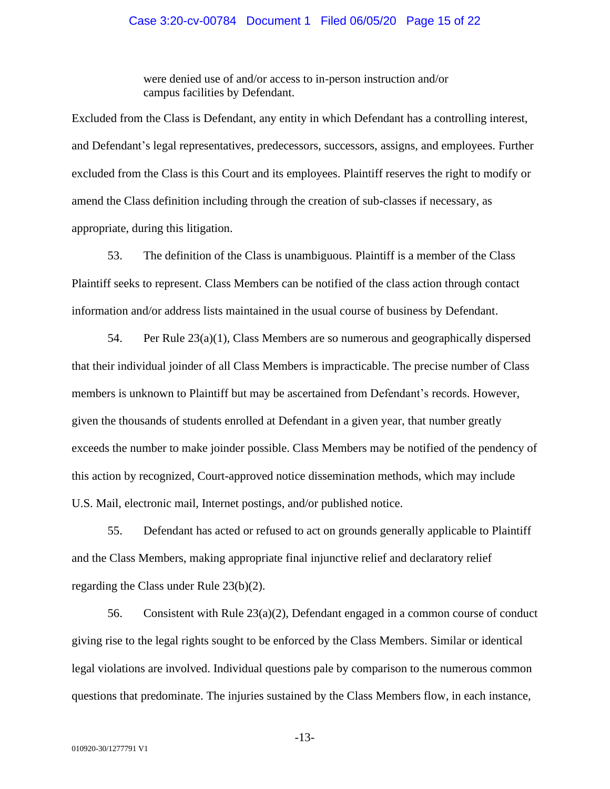#### Case 3:20-cv-00784 Document 1 Filed 06/05/20 Page 15 of 22

were denied use of and/or access to in-person instruction and/or campus facilities by Defendant.

Excluded from the Class is Defendant, any entity in which Defendant has a controlling interest, and Defendant's legal representatives, predecessors, successors, assigns, and employees. Further excluded from the Class is this Court and its employees. Plaintiff reserves the right to modify or amend the Class definition including through the creation of sub-classes if necessary, as appropriate, during this litigation.

53. The definition of the Class is unambiguous. Plaintiff is a member of the Class Plaintiff seeks to represent. Class Members can be notified of the class action through contact information and/or address lists maintained in the usual course of business by Defendant.

54. Per Rule 23(a)(1), Class Members are so numerous and geographically dispersed that their individual joinder of all Class Members is impracticable. The precise number of Class members is unknown to Plaintiff but may be ascertained from Defendant's records. However, given the thousands of students enrolled at Defendant in a given year, that number greatly exceeds the number to make joinder possible. Class Members may be notified of the pendency of this action by recognized, Court-approved notice dissemination methods, which may include U.S. Mail, electronic mail, Internet postings, and/or published notice.

55. Defendant has acted or refused to act on grounds generally applicable to Plaintiff and the Class Members, making appropriate final injunctive relief and declaratory relief regarding the Class under Rule 23(b)(2).

56. Consistent with Rule 23(a)(2), Defendant engaged in a common course of conduct giving rise to the legal rights sought to be enforced by the Class Members. Similar or identical legal violations are involved. Individual questions pale by comparison to the numerous common questions that predominate. The injuries sustained by the Class Members flow, in each instance,

-13-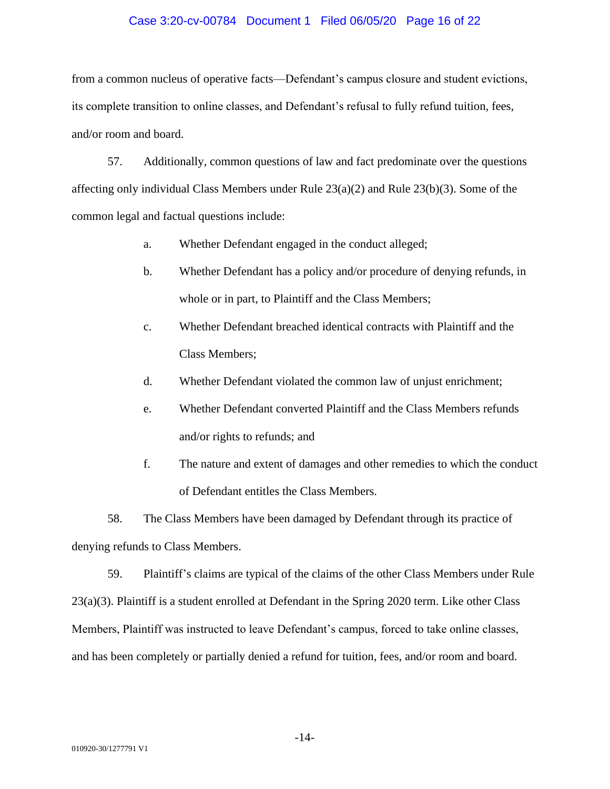#### Case 3:20-cv-00784 Document 1 Filed 06/05/20 Page 16 of 22

from a common nucleus of operative facts—Defendant's campus closure and student evictions, its complete transition to online classes, and Defendant's refusal to fully refund tuition, fees, and/or room and board.

57. Additionally, common questions of law and fact predominate over the questions affecting only individual Class Members under Rule 23(a)(2) and Rule 23(b)(3). Some of the common legal and factual questions include:

- a. Whether Defendant engaged in the conduct alleged;
- b. Whether Defendant has a policy and/or procedure of denying refunds, in whole or in part, to Plaintiff and the Class Members;
- c. Whether Defendant breached identical contracts with Plaintiff and the Class Members;
- d. Whether Defendant violated the common law of unjust enrichment;
- e. Whether Defendant converted Plaintiff and the Class Members refunds and/or rights to refunds; and
- f. The nature and extent of damages and other remedies to which the conduct of Defendant entitles the Class Members.

58. The Class Members have been damaged by Defendant through its practice of denying refunds to Class Members.

59. Plaintiff's claims are typical of the claims of the other Class Members under Rule 23(a)(3). Plaintiff is a student enrolled at Defendant in the Spring 2020 term. Like other Class Members, Plaintiff was instructed to leave Defendant's campus, forced to take online classes, and has been completely or partially denied a refund for tuition, fees, and/or room and board.

-14-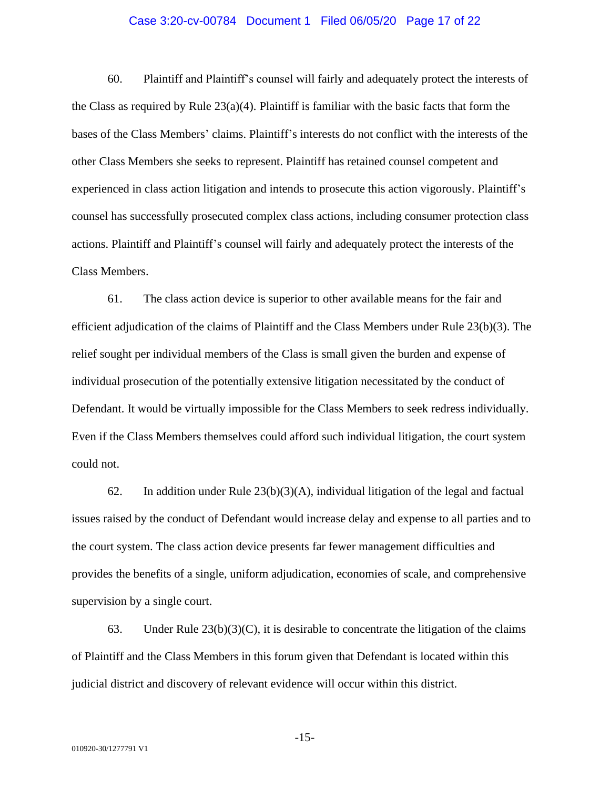#### Case 3:20-cv-00784 Document 1 Filed 06/05/20 Page 17 of 22

60. Plaintiff and Plaintiff's counsel will fairly and adequately protect the interests of the Class as required by Rule  $23(a)(4)$ . Plaintiff is familiar with the basic facts that form the bases of the Class Members' claims. Plaintiff's interests do not conflict with the interests of the other Class Members she seeks to represent. Plaintiff has retained counsel competent and experienced in class action litigation and intends to prosecute this action vigorously. Plaintiff's counsel has successfully prosecuted complex class actions, including consumer protection class actions. Plaintiff and Plaintiff's counsel will fairly and adequately protect the interests of the Class Members.

61. The class action device is superior to other available means for the fair and efficient adjudication of the claims of Plaintiff and the Class Members under Rule 23(b)(3). The relief sought per individual members of the Class is small given the burden and expense of individual prosecution of the potentially extensive litigation necessitated by the conduct of Defendant. It would be virtually impossible for the Class Members to seek redress individually. Even if the Class Members themselves could afford such individual litigation, the court system could not.

62. In addition under Rule  $23(b)(3)(A)$ , individual litigation of the legal and factual issues raised by the conduct of Defendant would increase delay and expense to all parties and to the court system. The class action device presents far fewer management difficulties and provides the benefits of a single, uniform adjudication, economies of scale, and comprehensive supervision by a single court.

63. Under Rule  $23(b)(3)(C)$ , it is desirable to concentrate the litigation of the claims of Plaintiff and the Class Members in this forum given that Defendant is located within this judicial district and discovery of relevant evidence will occur within this district.

-15-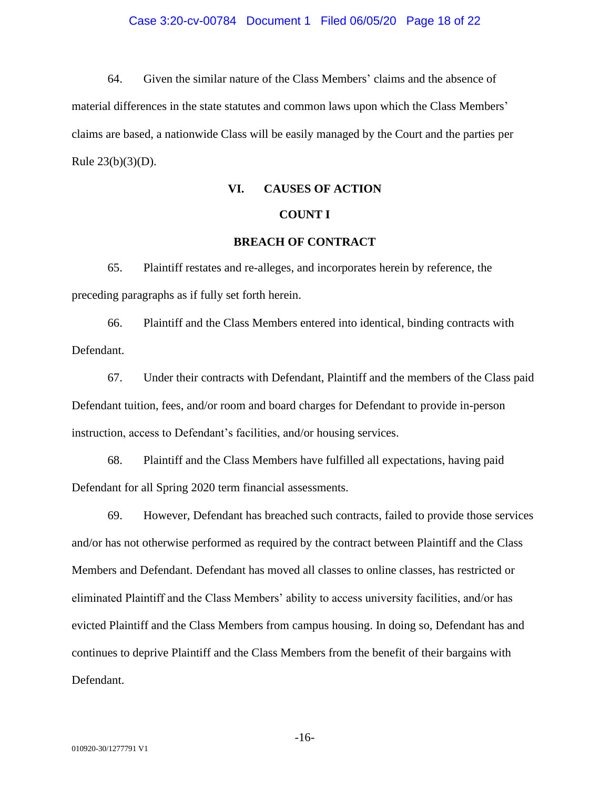#### Case 3:20-cv-00784 Document 1 Filed 06/05/20 Page 18 of 22

64. Given the similar nature of the Class Members' claims and the absence of material differences in the state statutes and common laws upon which the Class Members' claims are based, a nationwide Class will be easily managed by the Court and the parties per Rule 23(b)(3)(D).

#### **VI. CAUSES OF ACTION**

#### **COUNT I**

#### **BREACH OF CONTRACT**

65. Plaintiff restates and re-alleges, and incorporates herein by reference, the preceding paragraphs as if fully set forth herein.

66. Plaintiff and the Class Members entered into identical, binding contracts with Defendant.

67. Under their contracts with Defendant, Plaintiff and the members of the Class paid Defendant tuition, fees, and/or room and board charges for Defendant to provide in-person instruction, access to Defendant's facilities, and/or housing services.

68. Plaintiff and the Class Members have fulfilled all expectations, having paid Defendant for all Spring 2020 term financial assessments.

69. However, Defendant has breached such contracts, failed to provide those services and/or has not otherwise performed as required by the contract between Plaintiff and the Class Members and Defendant. Defendant has moved all classes to online classes, has restricted or eliminated Plaintiff and the Class Members' ability to access university facilities, and/or has evicted Plaintiff and the Class Members from campus housing. In doing so, Defendant has and continues to deprive Plaintiff and the Class Members from the benefit of their bargains with Defendant.

-16-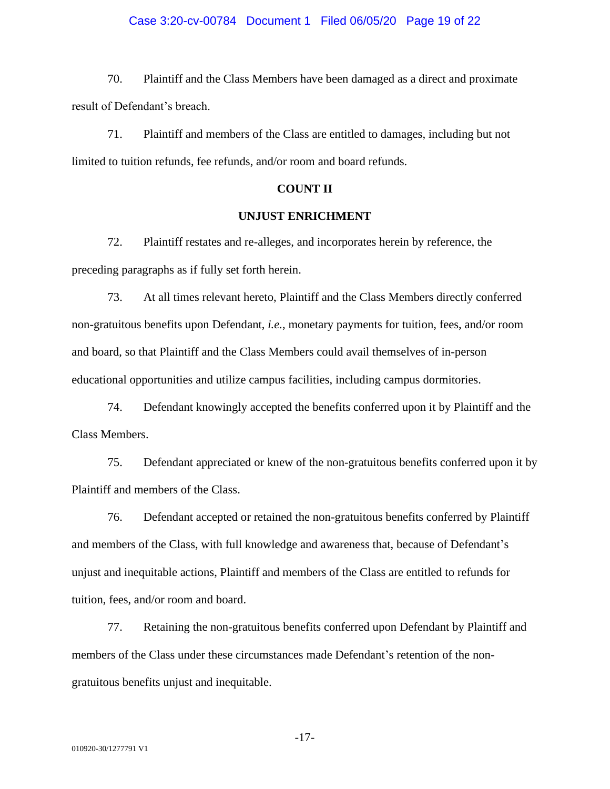#### Case 3:20-cv-00784 Document 1 Filed 06/05/20 Page 19 of 22

70. Plaintiff and the Class Members have been damaged as a direct and proximate result of Defendant's breach.

71. Plaintiff and members of the Class are entitled to damages, including but not limited to tuition refunds, fee refunds, and/or room and board refunds.

#### **COUNT II**

## **UNJUST ENRICHMENT**

72. Plaintiff restates and re-alleges, and incorporates herein by reference, the preceding paragraphs as if fully set forth herein.

73. At all times relevant hereto, Plaintiff and the Class Members directly conferred non-gratuitous benefits upon Defendant, *i.e.*, monetary payments for tuition, fees, and/or room and board, so that Plaintiff and the Class Members could avail themselves of in-person educational opportunities and utilize campus facilities, including campus dormitories.

74. Defendant knowingly accepted the benefits conferred upon it by Plaintiff and the Class Members.

75. Defendant appreciated or knew of the non-gratuitous benefits conferred upon it by Plaintiff and members of the Class.

76. Defendant accepted or retained the non-gratuitous benefits conferred by Plaintiff and members of the Class, with full knowledge and awareness that, because of Defendant's unjust and inequitable actions, Plaintiff and members of the Class are entitled to refunds for tuition, fees, and/or room and board.

77. Retaining the non-gratuitous benefits conferred upon Defendant by Plaintiff and members of the Class under these circumstances made Defendant's retention of the nongratuitous benefits unjust and inequitable.

-17-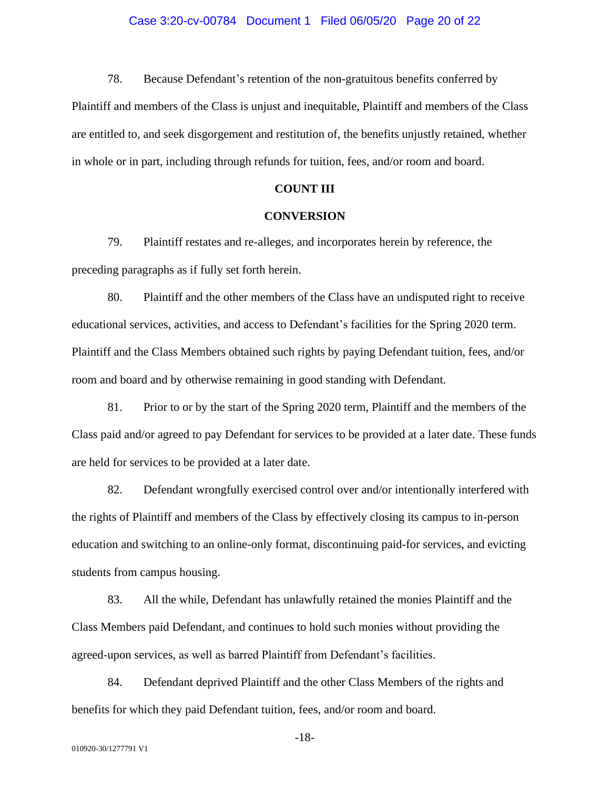#### Case 3:20-cv-00784 Document 1 Filed 06/05/20 Page 20 of 22

78. Because Defendant's retention of the non-gratuitous benefits conferred by

Plaintiff and members of the Class is unjust and inequitable, Plaintiff and members of the Class are entitled to, and seek disgorgement and restitution of, the benefits unjustly retained, whether in whole or in part, including through refunds for tuition, fees, and/or room and board.

#### **COUNT III**

#### **CONVERSION**

79. Plaintiff restates and re-alleges, and incorporates herein by reference, the preceding paragraphs as if fully set forth herein.

80. Plaintiff and the other members of the Class have an undisputed right to receive educational services, activities, and access to Defendant's facilities for the Spring 2020 term. Plaintiff and the Class Members obtained such rights by paying Defendant tuition, fees, and/or room and board and by otherwise remaining in good standing with Defendant.

81. Prior to or by the start of the Spring 2020 term, Plaintiff and the members of the Class paid and/or agreed to pay Defendant for services to be provided at a later date. These funds are held for services to be provided at a later date.

82. Defendant wrongfully exercised control over and/or intentionally interfered with the rights of Plaintiff and members of the Class by effectively closing its campus to in-person education and switching to an online-only format, discontinuing paid-for services, and evicting students from campus housing.

83. All the while, Defendant has unlawfully retained the monies Plaintiff and the Class Members paid Defendant, and continues to hold such monies without providing the agreed-upon services, as well as barred Plaintiff from Defendant's facilities.

84. Defendant deprived Plaintiff and the other Class Members of the rights and benefits for which they paid Defendant tuition, fees, and/or room and board.

-18-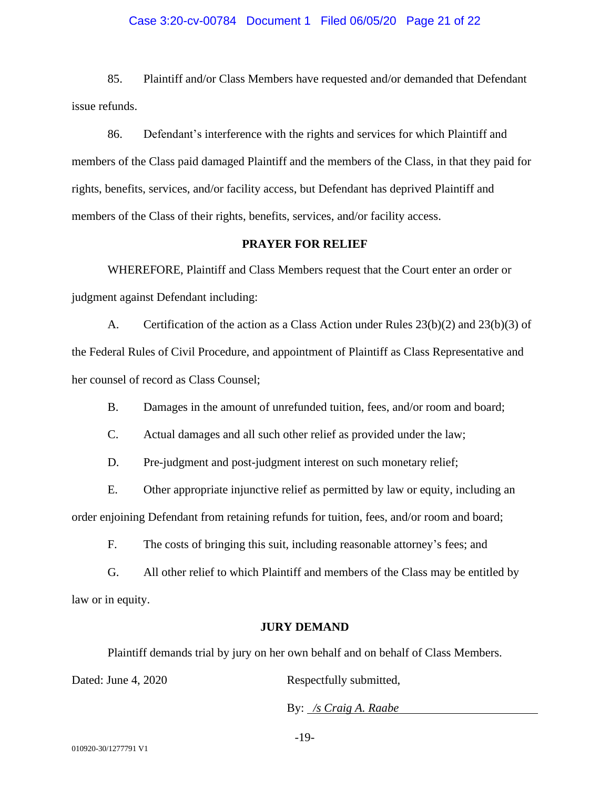#### Case 3:20-cv-00784 Document 1 Filed 06/05/20 Page 21 of 22

85. Plaintiff and/or Class Members have requested and/or demanded that Defendant issue refunds.

86. Defendant's interference with the rights and services for which Plaintiff and members of the Class paid damaged Plaintiff and the members of the Class, in that they paid for rights, benefits, services, and/or facility access, but Defendant has deprived Plaintiff and members of the Class of their rights, benefits, services, and/or facility access.

#### **PRAYER FOR RELIEF**

WHEREFORE, Plaintiff and Class Members request that the Court enter an order or judgment against Defendant including:

A. Certification of the action as a Class Action under Rules 23(b)(2) and 23(b)(3) of the Federal Rules of Civil Procedure, and appointment of Plaintiff as Class Representative and her counsel of record as Class Counsel;

B. Damages in the amount of unrefunded tuition, fees, and/or room and board;

C. Actual damages and all such other relief as provided under the law;

D. Pre-judgment and post-judgment interest on such monetary relief;

E. Other appropriate injunctive relief as permitted by law or equity, including an order enjoining Defendant from retaining refunds for tuition, fees, and/or room and board;

F. The costs of bringing this suit, including reasonable attorney's fees; and

G. All other relief to which Plaintiff and members of the Class may be entitled by law or in equity.

#### **JURY DEMAND**

Plaintiff demands trial by jury on her own behalf and on behalf of Class Members.

Dated: June 4, 2020 Respectfully submitted,

By: */s Craig A. Raabe*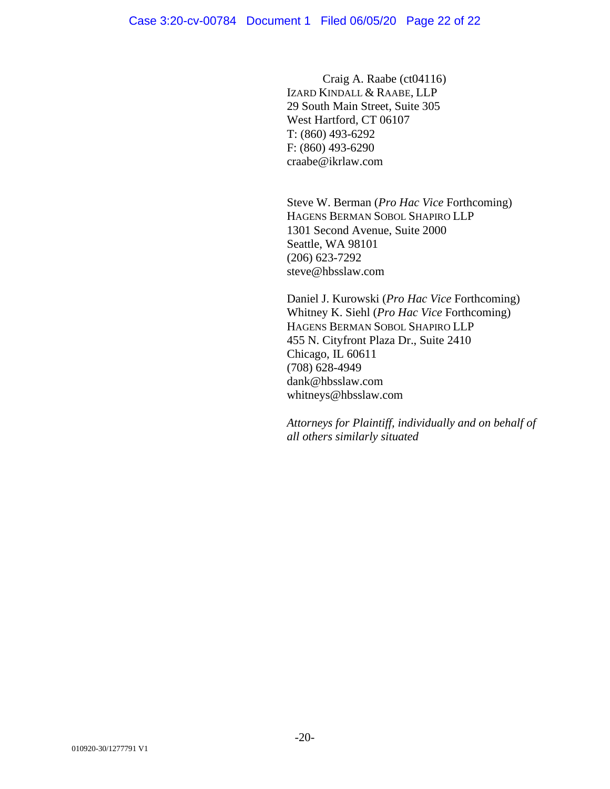Craig A. Raabe (ct04116) IZARD KINDALL & RAABE, LLP 29 South Main Street, Suite 305 West Hartford, CT 06107 T: (860) 493-6292 F: (860) 493-6290 craabe@ikrlaw.com

Steve W. Berman (*Pro Hac Vice* Forthcoming) HAGENS BERMAN SOBOL SHAPIRO LLP 1301 Second Avenue, Suite 2000 Seattle, WA 98101 (206) 623-7292 steve@hbsslaw.com

Daniel J. Kurowski (*Pro Hac Vice* Forthcoming) Whitney K. Siehl (*Pro Hac Vice* Forthcoming) HAGENS BERMAN SOBOL SHAPIRO LLP 455 N. Cityfront Plaza Dr., Suite 2410 Chicago, IL 60611 (708) 628-4949 dank@hbsslaw.com whitneys@hbsslaw.com

*Attorneys for Plaintiff, individually and on behalf of all others similarly situated*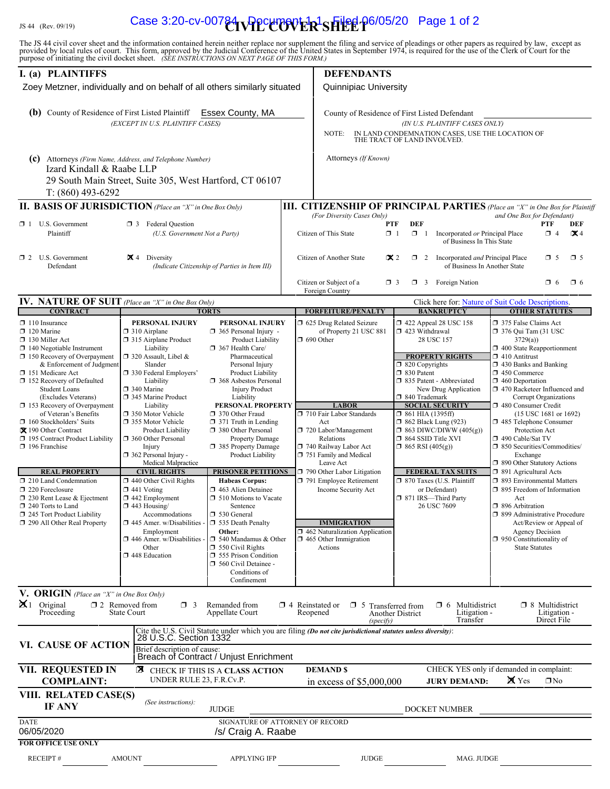# IS 44 (Rev. 09/19) **Case 3:20-cv-00784 PPCLIPOVER<sup>1</sup>SHEEF** 06/05/20 Page 1 of 2

The JS 44 civil cover sheet and the information contained herein neither replace nor supplement the filing and service of pleadings or other papers as required by law, except as provided by local rules of court. This form,

| I. (a) PLAINTIFFS                                                                                                                                                                                                                                                                                                                                                                                                                                                                                                                                                                                                                                  |                                                                                                                                                                                                                                                                                                                                                                                                                                                                                                                                                                                                                                      |                                                                                                                                                                                                                                                                                                                                                                                                                                                                                                                                                                                                                                                                                                                     |                                                                                                                                                                            | <b>DEFENDANTS</b>                                                                                                                                                                                                                                                                                                                                                                                                   |                                                                                                                                                                                        |                                                                                                                                                                                                                                                                                                      |                                                                                                                                                                                                                                                                                                                                                                                                                                                                                                                                                                                                                                       |                                                                                                     |          |
|----------------------------------------------------------------------------------------------------------------------------------------------------------------------------------------------------------------------------------------------------------------------------------------------------------------------------------------------------------------------------------------------------------------------------------------------------------------------------------------------------------------------------------------------------------------------------------------------------------------------------------------------------|--------------------------------------------------------------------------------------------------------------------------------------------------------------------------------------------------------------------------------------------------------------------------------------------------------------------------------------------------------------------------------------------------------------------------------------------------------------------------------------------------------------------------------------------------------------------------------------------------------------------------------------|---------------------------------------------------------------------------------------------------------------------------------------------------------------------------------------------------------------------------------------------------------------------------------------------------------------------------------------------------------------------------------------------------------------------------------------------------------------------------------------------------------------------------------------------------------------------------------------------------------------------------------------------------------------------------------------------------------------------|----------------------------------------------------------------------------------------------------------------------------------------------------------------------------|---------------------------------------------------------------------------------------------------------------------------------------------------------------------------------------------------------------------------------------------------------------------------------------------------------------------------------------------------------------------------------------------------------------------|----------------------------------------------------------------------------------------------------------------------------------------------------------------------------------------|------------------------------------------------------------------------------------------------------------------------------------------------------------------------------------------------------------------------------------------------------------------------------------------------------|---------------------------------------------------------------------------------------------------------------------------------------------------------------------------------------------------------------------------------------------------------------------------------------------------------------------------------------------------------------------------------------------------------------------------------------------------------------------------------------------------------------------------------------------------------------------------------------------------------------------------------------|-----------------------------------------------------------------------------------------------------|----------|
| Zoey Metzner, individually and on behalf of all others similarly situated                                                                                                                                                                                                                                                                                                                                                                                                                                                                                                                                                                          |                                                                                                                                                                                                                                                                                                                                                                                                                                                                                                                                                                                                                                      |                                                                                                                                                                                                                                                                                                                                                                                                                                                                                                                                                                                                                                                                                                                     | <b>Quinnipiac University</b>                                                                                                                                               |                                                                                                                                                                                                                                                                                                                                                                                                                     |                                                                                                                                                                                        |                                                                                                                                                                                                                                                                                                      |                                                                                                                                                                                                                                                                                                                                                                                                                                                                                                                                                                                                                                       |                                                                                                     |          |
| (b) County of Residence of First Listed Plaintiff                                                                                                                                                                                                                                                                                                                                                                                                                                                                                                                                                                                                  | Essex County, MA<br>(EXCEPT IN U.S. PLAINTIFF CASES)                                                                                                                                                                                                                                                                                                                                                                                                                                                                                                                                                                                 |                                                                                                                                                                                                                                                                                                                                                                                                                                                                                                                                                                                                                                                                                                                     | County of Residence of First Listed Defendant<br>(IN U.S. PLAINTIFF CASES ONLY)<br>IN LAND CONDEMNATION CASES, USE THE LOCATION OF<br>NOTE:<br>THE TRACT OF LAND INVOLVED. |                                                                                                                                                                                                                                                                                                                                                                                                                     |                                                                                                                                                                                        |                                                                                                                                                                                                                                                                                                      |                                                                                                                                                                                                                                                                                                                                                                                                                                                                                                                                                                                                                                       |                                                                                                     |          |
| (c) Attorneys (Firm Name, Address, and Telephone Number)<br>Izard Kindall & Raabe LLP                                                                                                                                                                                                                                                                                                                                                                                                                                                                                                                                                              |                                                                                                                                                                                                                                                                                                                                                                                                                                                                                                                                                                                                                                      | Attorneys (If Known)                                                                                                                                                                                                                                                                                                                                                                                                                                                                                                                                                                                                                                                                                                |                                                                                                                                                                            |                                                                                                                                                                                                                                                                                                                                                                                                                     |                                                                                                                                                                                        |                                                                                                                                                                                                                                                                                                      |                                                                                                                                                                                                                                                                                                                                                                                                                                                                                                                                                                                                                                       |                                                                                                     |          |
| $T: (860)$ 493-6292                                                                                                                                                                                                                                                                                                                                                                                                                                                                                                                                                                                                                                | 29 South Main Street, Suite 305, West Hartford, CT 06107                                                                                                                                                                                                                                                                                                                                                                                                                                                                                                                                                                             |                                                                                                                                                                                                                                                                                                                                                                                                                                                                                                                                                                                                                                                                                                                     |                                                                                                                                                                            |                                                                                                                                                                                                                                                                                                                                                                                                                     |                                                                                                                                                                                        |                                                                                                                                                                                                                                                                                                      |                                                                                                                                                                                                                                                                                                                                                                                                                                                                                                                                                                                                                                       |                                                                                                     |          |
| <b>II. BASIS OF JURISDICTION</b> (Place an "X" in One Box Only)                                                                                                                                                                                                                                                                                                                                                                                                                                                                                                                                                                                    |                                                                                                                                                                                                                                                                                                                                                                                                                                                                                                                                                                                                                                      |                                                                                                                                                                                                                                                                                                                                                                                                                                                                                                                                                                                                                                                                                                                     | III. CITIZENSHIP OF PRINCIPAL PARTIES (Place an "X" in One Box for Plaintiff                                                                                               |                                                                                                                                                                                                                                                                                                                                                                                                                     |                                                                                                                                                                                        |                                                                                                                                                                                                                                                                                                      |                                                                                                                                                                                                                                                                                                                                                                                                                                                                                                                                                                                                                                       |                                                                                                     |          |
| $\Box$ 1 U.S. Government<br>Plaintiff                                                                                                                                                                                                                                                                                                                                                                                                                                                                                                                                                                                                              | (U.S. Government Not a Party)                                                                                                                                                                                                                                                                                                                                                                                                                                                                                                                                                                                                        | and One Box for Defendant)<br>(For Diversity Cases Only)<br><b>DEF</b><br><b>PTF</b><br><b>PTF</b><br>Citizen of This State<br>$\Box$ 1<br>$\Box$ 1 Incorporated or Principal Place<br>$\Box$ 4<br>of Business In This State                                                                                                                                                                                                                                                                                                                                                                                                                                                                                        |                                                                                                                                                                            |                                                                                                                                                                                                                                                                                                                                                                                                                     |                                                                                                                                                                                        |                                                                                                                                                                                                                                                                                                      | DEF<br>$\mathbf{X}$ 4                                                                                                                                                                                                                                                                                                                                                                                                                                                                                                                                                                                                                 |                                                                                                     |          |
| $\Box$ 2 U.S. Government<br>Defendant                                                                                                                                                                                                                                                                                                                                                                                                                                                                                                                                                                                                              | $\mathbf{\times}$ 4 Diversity                                                                                                                                                                                                                                                                                                                                                                                                                                                                                                                                                                                                        | (Indicate Citizenship of Parties in Item III)                                                                                                                                                                                                                                                                                                                                                                                                                                                                                                                                                                                                                                                                       |                                                                                                                                                                            | $\mathbf{\times} 2$<br>Citizen of Another State<br>$\Box$ 2 Incorporated <i>and</i> Principal Place<br>$\Box$ 5<br>of Business In Another State                                                                                                                                                                                                                                                                     |                                                                                                                                                                                        |                                                                                                                                                                                                                                                                                                      |                                                                                                                                                                                                                                                                                                                                                                                                                                                                                                                                                                                                                                       | $\square$ 5                                                                                         |          |
|                                                                                                                                                                                                                                                                                                                                                                                                                                                                                                                                                                                                                                                    |                                                                                                                                                                                                                                                                                                                                                                                                                                                                                                                                                                                                                                      |                                                                                                                                                                                                                                                                                                                                                                                                                                                                                                                                                                                                                                                                                                                     |                                                                                                                                                                            | Citizen or Subject of a<br>Foreign Country                                                                                                                                                                                                                                                                                                                                                                          | $\Box$ 3                                                                                                                                                                               | $\Box$ 3 Foreign Nation                                                                                                                                                                                                                                                                              |                                                                                                                                                                                                                                                                                                                                                                                                                                                                                                                                                                                                                                       | $\Box$ 6                                                                                            | $\Box$ 6 |
| <b>IV. NATURE OF SUIT</b> (Place an "X" in One Box Only)<br><b>CONTRACT</b>                                                                                                                                                                                                                                                                                                                                                                                                                                                                                                                                                                        |                                                                                                                                                                                                                                                                                                                                                                                                                                                                                                                                                                                                                                      | <b>TORTS</b>                                                                                                                                                                                                                                                                                                                                                                                                                                                                                                                                                                                                                                                                                                        |                                                                                                                                                                            | <b>FORFEITURE/PENALTY</b>                                                                                                                                                                                                                                                                                                                                                                                           |                                                                                                                                                                                        | Click here for: Nature of Suit Code Descriptions.<br><b>BANKRUPTCY</b>                                                                                                                                                                                                                               |                                                                                                                                                                                                                                                                                                                                                                                                                                                                                                                                                                                                                                       | <b>OTHER STATUTES</b>                                                                               |          |
| $\Box$ 110 Insurance<br>$\Box$ 120 Marine<br>$\Box$ 130 Miller Act<br>$\Box$ 140 Negotiable Instrument<br>$\Box$ 150 Recovery of Overpayment<br>& Enforcement of Judgment<br>151 Medicare Act<br>152 Recovery of Defaulted<br><b>Student Loans</b><br>(Excludes Veterans)<br>$\Box$ 153 Recovery of Overpayment<br>of Veteran's Benefits<br>160 Stockholders' Suits<br>X 190 Other Contract<br>□ 195 Contract Product Liability<br>$\Box$ 196 Franchise<br><b>REAL PROPERTY</b><br>210 Land Condemnation<br>220 Foreclosure<br>$\Box$ 230 Rent Lease & Ejectment<br>240 Torts to Land<br>245 Tort Product Liability<br>290 All Other Real Property | PERSONAL INJURY<br>$\Box$ 310 Airplane<br>□ 315 Airplane Product<br>Liability<br>□ 320 Assault, Libel &<br>Slander<br>□ 330 Federal Employers'<br>Liability<br>□ 340 Marine<br>345 Marine Product<br>Liability<br>7 350 Motor Vehicle<br>□ 355 Motor Vehicle<br>Product Liability<br>360 Other Personal<br>Injury<br>362 Personal Injury -<br>Medical Malpractice<br><b>CIVIL RIGHTS</b><br>$\Box$ 440 Other Civil Rights<br>$\Box$ 441 Voting<br>$\square$ 442 Employment<br>$\Box$ 443 Housing/<br>Accommodations<br>$\square$ 445 Amer. w/Disabilities<br>Employment<br>$\Box$ 446 Amer. w/Disabilities<br>Other<br>448 Education | PERSONAL INJURY<br>$\Box$ 365 Personal Injury -<br>Product Liability<br>367 Health Care/<br>Pharmaceutical<br>Personal Injury<br>Product Liability<br><b>1</b> 368 Asbestos Personal<br><b>Injury Product</b><br>Liability<br>PERSONAL PROPERTY<br>□ 370 Other Fraud<br>$\Box$ 371 Truth in Lending<br>380 Other Personal<br><b>Property Damage</b><br>□ 385 Property Damage<br>Product Liability<br><b>PRISONER PETITIONS</b><br><b>Habeas Corpus:</b><br>463 Alien Detainee<br>$\Box$ 510 Motions to Vacate<br>Sentence<br>□ 530 General<br>535 Death Penalty<br>Other:<br>$\Box$ 540 Mandamus & Other<br>$\Box$ 550 Civil Rights<br>555 Prison Condition<br>560 Civil Detainee -<br>Conditions of<br>Confinement |                                                                                                                                                                            | □ 625 Drug Related Seizure<br>of Property 21 USC 881<br>$\Box$ 690 Other<br><b>LABOR</b><br>710 Fair Labor Standards<br>Act<br>720 Labor/Management<br>Relations<br>740 Railway Labor Act<br>751 Family and Medical<br>Leave Act<br>790 Other Labor Litigation<br>791 Employee Retirement<br>Income Security Act<br><b>IMMIGRATION</b><br>462 Naturalization Application<br>$\Box$ 465 Other Immigration<br>Actions | 1 423 Withdrawal<br>□ 820 Copyrights<br>□ 830 Patent<br>□ 840 Trademark<br>$\Box$ 861 HIA (1395ff)<br><b>1</b> 862 Black Lung (923)<br>□ 864 SSID Title XVI<br>$\Box$ 865 RSI (405(g)) | 158 422 Appeal 28 USC 158<br>28 USC 157<br><b>PROPERTY RIGHTS</b><br>335 Patent - Abbreviated<br>New Drug Application<br><b>SOCIAL SECURITY</b><br>$\Box$ 863 DIWC/DIWW (405(g))<br><b>FEDERAL TAX SUITS</b><br>□ 870 Taxes (U.S. Plaintiff<br>or Defendant)<br>□ 871 IRS-Third Party<br>26 USC 7609 | 375 False Claims Act<br>376 Qui Tam (31 USC<br>3729(a)<br>$\Box$ 400 State Reapportionment<br>$\Box$ 410 Antitrust<br>$\Box$ 430 Banks and Banking<br>$\Box$ 450 Commerce<br>$\Box$ 460 Deportation<br>□ 470 Racketeer Influenced and<br>480 Consumer Credit<br>485 Telephone Consumer<br>Protection Act<br>$\Box$ 490 Cable/Sat TV<br>□ 850 Securities/Commodities/<br>Exchange<br>□ 890 Other Statutory Actions<br>□ 891 Agricultural Acts<br>□ 893 Environmental Matters<br>□ 895 Freedom of Information<br>Act<br>□ 896 Arbitration<br>□ 899 Administrative Procedure<br>$\Box$ 950 Constitutionality of<br><b>State Statutes</b> | Corrupt Organizations<br>(15 USC 1681 or 1692)<br>Act/Review or Appeal of<br><b>Agency Decision</b> |          |
| <b>V. ORIGIN</b> (Place an "X" in One Box Only)<br>$\mathbf{X}$ 1 Original<br>Proceeding                                                                                                                                                                                                                                                                                                                                                                                                                                                                                                                                                           | $\Box$ 2 Removed from<br>$\Box$ 3<br><b>State Court</b>                                                                                                                                                                                                                                                                                                                                                                                                                                                                                                                                                                              | Remanded from<br>Appellate Court                                                                                                                                                                                                                                                                                                                                                                                                                                                                                                                                                                                                                                                                                    | $\Box$ 4 Reinstated or                                                                                                                                                     | $\Box$ 5<br>Reopened                                                                                                                                                                                                                                                                                                                                                                                                | Transferred from<br>Another District                                                                                                                                                   | Multidistrict<br>$\Box$ 6<br>Litigation -                                                                                                                                                                                                                                                            |                                                                                                                                                                                                                                                                                                                                                                                                                                                                                                                                                                                                                                       | $\Box$ 8 Multidistrict<br>Litigation -                                                              |          |
| VI. CAUSE OF ACTION                                                                                                                                                                                                                                                                                                                                                                                                                                                                                                                                                                                                                                | Brief description of cause:                                                                                                                                                                                                                                                                                                                                                                                                                                                                                                                                                                                                          | Breach of Contract / Unjust Enrichment                                                                                                                                                                                                                                                                                                                                                                                                                                                                                                                                                                                                                                                                              |                                                                                                                                                                            | (specify)<br>Cite the U.S. Civil Statute under which you are filing (Do not cite jurisdictional statutes unless diversity): 28 U.S.C. Section 1332                                                                                                                                                                                                                                                                  |                                                                                                                                                                                        | Transfer                                                                                                                                                                                                                                                                                             |                                                                                                                                                                                                                                                                                                                                                                                                                                                                                                                                                                                                                                       | Direct File                                                                                         |          |
| VII. REQUESTED IN<br><b>COMPLAINT:</b>                                                                                                                                                                                                                                                                                                                                                                                                                                                                                                                                                                                                             | ⊠<br>UNDER RULE 23, F.R.Cv.P.                                                                                                                                                                                                                                                                                                                                                                                                                                                                                                                                                                                                        | CHECK IF THIS IS A CLASS ACTION                                                                                                                                                                                                                                                                                                                                                                                                                                                                                                                                                                                                                                                                                     |                                                                                                                                                                            | <b>DEMAND \$</b><br>in excess of \$5,000,000                                                                                                                                                                                                                                                                                                                                                                        |                                                                                                                                                                                        | CHECK YES only if demanded in complaint:<br><b>JURY DEMAND:</b>                                                                                                                                                                                                                                      | <b>X</b> Yes                                                                                                                                                                                                                                                                                                                                                                                                                                                                                                                                                                                                                          | $\Box$ No                                                                                           |          |
| VIII. RELATED CASE(S)<br>IF ANY                                                                                                                                                                                                                                                                                                                                                                                                                                                                                                                                                                                                                    | <b>JUDGE</b>                                                                                                                                                                                                                                                                                                                                                                                                                                                                                                                                                                                                                         | DOCKET NUMBER                                                                                                                                                                                                                                                                                                                                                                                                                                                                                                                                                                                                                                                                                                       |                                                                                                                                                                            |                                                                                                                                                                                                                                                                                                                                                                                                                     |                                                                                                                                                                                        |                                                                                                                                                                                                                                                                                                      |                                                                                                                                                                                                                                                                                                                                                                                                                                                                                                                                                                                                                                       |                                                                                                     |          |
| <b>DATE</b><br>06/05/2020<br><b>FOR OFFICE USE ONLY</b>                                                                                                                                                                                                                                                                                                                                                                                                                                                                                                                                                                                            |                                                                                                                                                                                                                                                                                                                                                                                                                                                                                                                                                                                                                                      | SIGNATURE OF ATTORNEY OF RECORD<br>/s/ Craig A. Raabe                                                                                                                                                                                                                                                                                                                                                                                                                                                                                                                                                                                                                                                               |                                                                                                                                                                            |                                                                                                                                                                                                                                                                                                                                                                                                                     |                                                                                                                                                                                        |                                                                                                                                                                                                                                                                                                      |                                                                                                                                                                                                                                                                                                                                                                                                                                                                                                                                                                                                                                       |                                                                                                     |          |
| <b>RECEIPT#</b>                                                                                                                                                                                                                                                                                                                                                                                                                                                                                                                                                                                                                                    | <b>AMOUNT</b>                                                                                                                                                                                                                                                                                                                                                                                                                                                                                                                                                                                                                        | <b>APPLYING IFP</b>                                                                                                                                                                                                                                                                                                                                                                                                                                                                                                                                                                                                                                                                                                 |                                                                                                                                                                            | <b>JUDGE</b>                                                                                                                                                                                                                                                                                                                                                                                                        |                                                                                                                                                                                        | MAG. JUDGE                                                                                                                                                                                                                                                                                           |                                                                                                                                                                                                                                                                                                                                                                                                                                                                                                                                                                                                                                       |                                                                                                     |          |